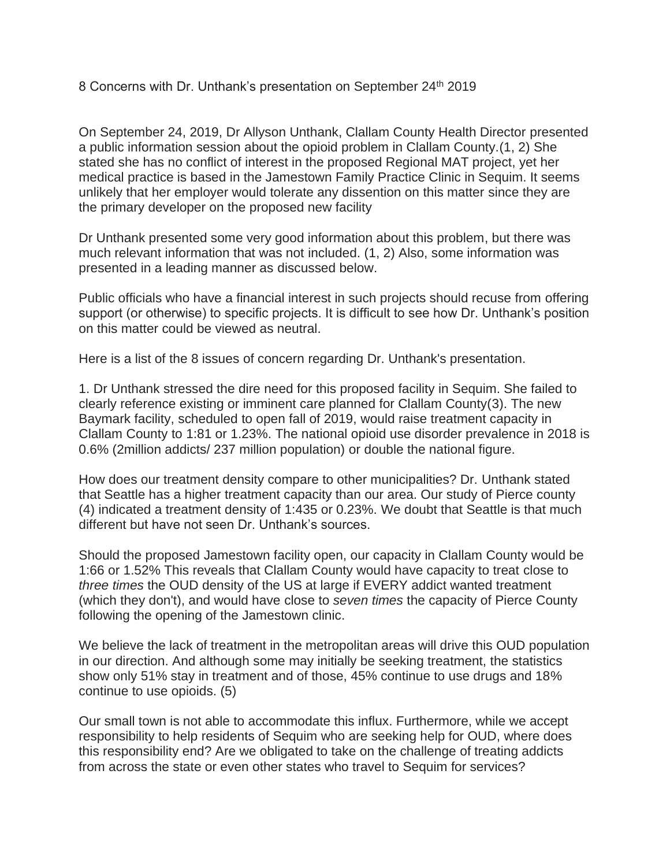8 Concerns with Dr. Unthank's presentation on September 24<sup>th</sup> 2019

On September 24, 2019, Dr Allyson Unthank, Clallam County Health Director presented a public information session about the opioid problem in Clallam County.(1, 2) She stated she has no conflict of interest in the proposed Regional MAT project, yet her medical practice is based in the Jamestown Family Practice Clinic in Sequim. It seems unlikely that her employer would tolerate any dissention on this matter since they are the primary developer on the proposed new facility

Dr Unthank presented some very good information about this problem, but there was much relevant information that was not included. (1, 2) Also, some information was presented in a leading manner as discussed below.

Public officials who have a financial interest in such projects should recuse from offering support (or otherwise) to specific projects. It is difficult to see how Dr. Unthank's position on this matter could be viewed as neutral.

Here is a list of the 8 issues of concern regarding Dr. Unthank's presentation.

1. Dr Unthank stressed the dire need for this proposed facility in Sequim. She failed to clearly reference existing or imminent care planned for Clallam County(3). The new Baymark facility, scheduled to open fall of 2019, would raise treatment capacity in Clallam County to 1:81 or 1.23%. The national opioid use disorder prevalence in 2018 is 0.6% (2million addicts/ 237 million population) or double the national figure.

How does our treatment density compare to other municipalities? Dr. Unthank stated that Seattle has a higher treatment capacity than our area. Our study of Pierce county (4) indicated a treatment density of 1:435 or 0.23%. We doubt that Seattle is that much different but have not seen Dr. Unthank's sources.

Should the proposed Jamestown facility open, our capacity in Clallam County would be 1:66 or 1.52% This reveals that Clallam County would have capacity to treat close to *three times* the OUD density of the US at large if EVERY addict wanted treatment (which they don't), and would have close to *seven times* the capacity of Pierce County following the opening of the Jamestown clinic.

We believe the lack of treatment in the metropolitan areas will drive this OUD population in our direction. And although some may initially be seeking treatment, the statistics show only 51% stay in treatment and of those, 45% continue to use drugs and 18% continue to use opioids. (5)

Our small town is not able to accommodate this influx. Furthermore, while we accept responsibility to help residents of Sequim who are seeking help for OUD, where does this responsibility end? Are we obligated to take on the challenge of treating addicts from across the state or even other states who travel to Sequim for services?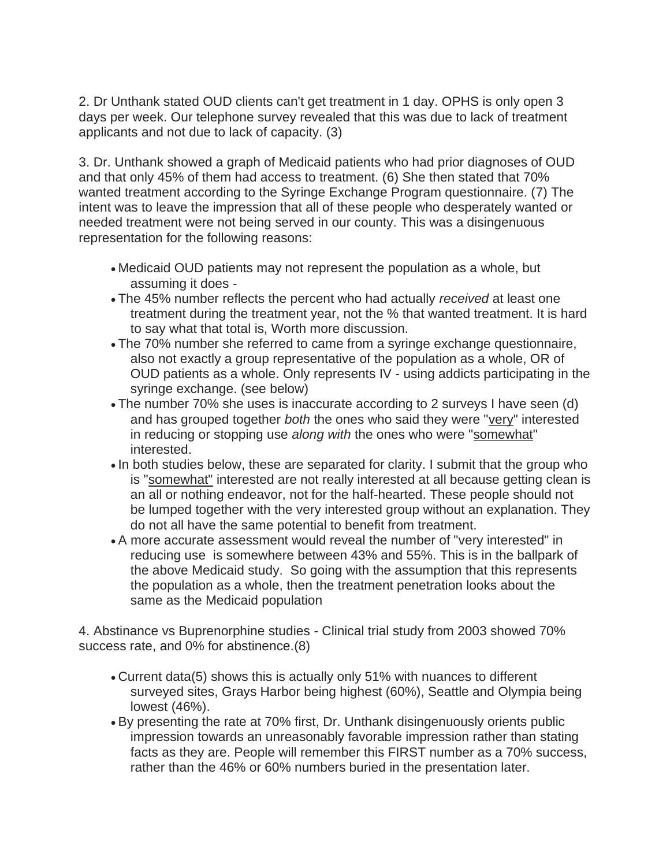2. Dr Unthank stated OUD clients can't get treatment in 1 day. OPHS is only open 3 days per week. Our telephone survey revealed that this was due to lack of treatment applicants and not due to lack of capacity. (3)

3. Dr. Unthank showed a graph of Medicaid patients who had prior diagnoses of OUD and that only 45% of them had access to treatment. (6) She then stated that 70% wanted treatment according to the Syringe Exchange Program questionnaire. (7) The intent was to leave the impression that all of these people who desperately wanted or needed treatment were not being served in our county. This was a disingenuous representation for the following reasons:

- Medicaid OUD patients may not represent the population as a whole, but assuming it does -
- The 45% number reflects the percent who had actually *received* at least one treatment during the treatment year, not the % that wanted treatment. It is hard to say what that total is, Worth more discussion.
- The 70% number she referred to came from a syringe exchange questionnaire, also not exactly a group representative of the population as a whole, OR of OUD patients as a whole. Only represents IV - using addicts participating in the syringe exchange. (see below)
- The number 70% she uses is inaccurate according to 2 surveys I have seen (d) and has grouped together *both* the ones who said they were "very" interested in reducing or stopping use *along with* the ones who were "somewhat" interested.
- In both studies below, these are separated for clarity. I submit that the group who is "somewhat" interested are not really interested at all because getting clean is an all or nothing endeavor, not for the half-hearted. These people should not be lumped together with the very interested group without an explanation. They do not all have the same potential to benefit from treatment.
- A more accurate assessment would reveal the number of "very interested" in reducing use is somewhere between 43% and 55%. This is in the ballpark of the above Medicaid study. So going with the assumption that this represents the population as a whole, then the treatment penetration looks about the same as the Medicaid population

4. Abstinance vs Buprenorphine studies - Clinical trial study from 2003 showed 70% success rate, and 0% for abstinence.(8)

- Current data(5) shows this is actually only 51% with nuances to different surveyed sites, Grays Harbor being highest (60%), Seattle and Olympia being lowest (46%).
- By presenting the rate at 70% first, Dr. Unthank disingenuously orients public impression towards an unreasonably favorable impression rather than stating facts as they are. People will remember this FIRST number as a 70% success, rather than the 46% or 60% numbers buried in the presentation later.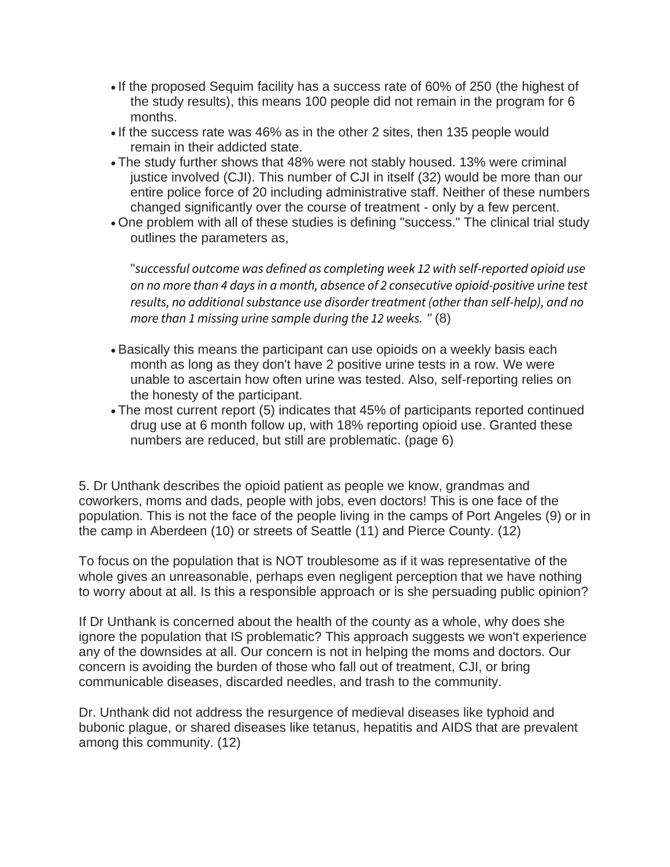- If the proposed Sequim facility has a success rate of 60% of 250 (the highest of the study results), this means 100 people did not remain in the program for 6 months.
- If the success rate was 46% as in the other 2 sites, then 135 people would remain in their addicted state.
- The study further shows that 48% were not stably housed. 13% were criminal justice involved (CJI). This number of CJI in itself (32) would be more than our entire police force of 20 including administrative staff. Neither of these numbers changed significantly over the course of treatment - only by a few percent.
- One problem with all of these studies is defining "success." The clinical trial study outlines the parameters as,

"*successful outcome was defined as completing week 12 with self-reported opioid use on no more than 4 days in a month, absence of 2 consecutive opioid-positive urine test results, no additional substance use disorder treatment (other than self-help), and no more than 1 missing urine sample during the 12 weeks. "* (8)

- Basically this means the participant can use opioids on a weekly basis each month as long as they don't have 2 positive urine tests in a row. We were unable to ascertain how often urine was tested. Also, self-reporting relies on the honesty of the participant.
- The most current report (5) indicates that 45% of participants reported continued drug use at 6 month follow up, with 18% reporting opioid use. Granted these numbers are reduced, but still are problematic. (page 6)

5. Dr Unthank describes the opioid patient as people we know, grandmas and coworkers, moms and dads, people with jobs, even doctors! This is one face of the population. This is not the face of the people living in the camps of Port Angeles (9) or in the camp in Aberdeen (10) or streets of Seattle (11) and Pierce County. (12)

To focus on the population that is NOT troublesome as if it was representative of the whole gives an unreasonable, perhaps even negligent perception that we have nothing to worry about at all. Is this a responsible approach or is she persuading public opinion?

If Dr Unthank is concerned about the health of the county as a whole, why does she ignore the population that IS problematic? This approach suggests we won't experience any of the downsides at all. Our concern is not in helping the moms and doctors. Our concern is avoiding the burden of those who fall out of treatment, CJI, or bring communicable diseases, discarded needles, and trash to the community.

Dr. Unthank did not address the resurgence of medieval diseases like typhoid and bubonic plague, or shared diseases like tetanus, hepatitis and AIDS that are prevalent among this community. (12)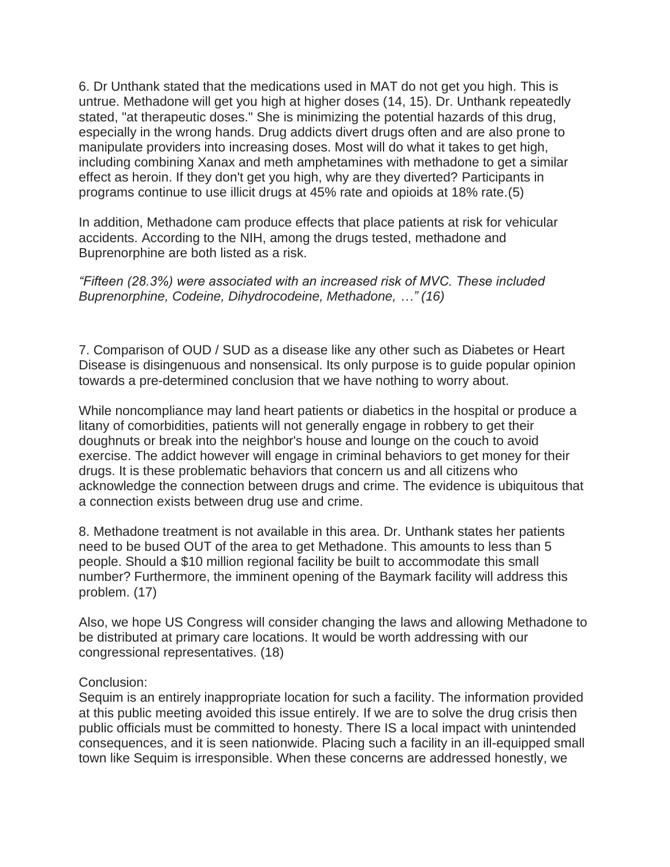6. Dr Unthank stated that the medications used in MAT do not get you high. This is untrue. Methadone will get you high at higher doses (14, 15). Dr. Unthank repeatedly stated, "at therapeutic doses." She is minimizing the potential hazards of this drug, especially in the wrong hands. Drug addicts divert drugs often and are also prone to manipulate providers into increasing doses. Most will do what it takes to get high, including combining Xanax and meth amphetamines with methadone to get a similar effect as heroin. If they don't get you high, why are they diverted? Participants in programs continue to use illicit drugs at 45% rate and opioids at 18% rate.(5)

In addition, Methadone cam produce effects that place patients at risk for vehicular accidents. According to the NIH, among the drugs tested, methadone and Buprenorphine are both listed as a risk.

## *"Fifteen (28.3%) were associated with an increased risk of MVC. These included Buprenorphine, Codeine, Dihydrocodeine, Methadone, …" (16)*

7. Comparison of OUD / SUD as a disease like any other such as Diabetes or Heart Disease is disingenuous and nonsensical. Its only purpose is to guide popular opinion towards a pre-determined conclusion that we have nothing to worry about.

While noncompliance may land heart patients or diabetics in the hospital or produce a litany of comorbidities, patients will not generally engage in robbery to get their doughnuts or break into the neighbor's house and lounge on the couch to avoid exercise. The addict however will engage in criminal behaviors to get money for their drugs. It is these problematic behaviors that concern us and all citizens who acknowledge the connection between drugs and crime. The evidence is ubiquitous that a connection exists between drug use and crime.

8. Methadone treatment is not available in this area. Dr. Unthank states her patients need to be bused OUT of the area to get Methadone. This amounts to less than 5 people. Should a \$10 million regional facility be built to accommodate this small number? Furthermore, the imminent opening of the Baymark facility will address this problem. (17)

Also, we hope US Congress will consider changing the laws and allowing Methadone to be distributed at primary care locations. It would be worth addressing with our congressional representatives. (18)

## Conclusion:

Sequim is an entirely inappropriate location for such a facility. The information provided at this public meeting avoided this issue entirely. If we are to solve the drug crisis then public officials must be committed to honesty. There IS a local impact with unintended consequences, and it is seen nationwide. Placing such a facility in an ill-equipped small town like Sequim is irresponsible. When these concerns are addressed honestly, we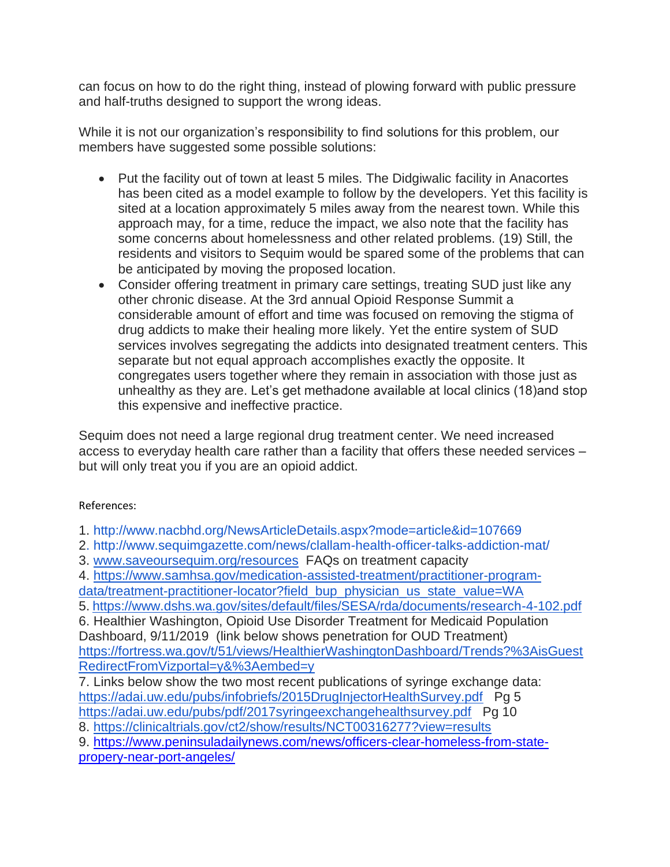can focus on how to do the right thing, instead of plowing forward with public pressure and half-truths designed to support the wrong ideas.

While it is not our organization's responsibility to find solutions for this problem, our members have suggested some possible solutions:

- Put the facility out of town at least 5 miles. The Didgiwalic facility in Anacortes has been cited as a model example to follow by the developers. Yet this facility is sited at a location approximately 5 miles away from the nearest town. While this approach may, for a time, reduce the impact, we also note that the facility has some concerns about homelessness and other related problems. (19) Still, the residents and visitors to Sequim would be spared some of the problems that can be anticipated by moving the proposed location.
- Consider offering treatment in primary care settings, treating SUD just like any other chronic disease. At the 3rd annual Opioid Response Summit a considerable amount of effort and time was focused on removing the stigma of drug addicts to make their healing more likely. Yet the entire system of SUD services involves segregating the addicts into designated treatment centers. This separate but not equal approach accomplishes exactly the opposite. It congregates users together where they remain in association with those just as unhealthy as they are. Let's get methadone available at local clinics (18)and stop this expensive and ineffective practice.

Sequim does not need a large regional drug treatment center. We need increased access to everyday health care rather than a facility that offers these needed services – but will only treat you if you are an opioid addict.

## References:

1.<http://www.nacbhd.org/NewsArticleDetails.aspx?mode=article&id=107669>

- 2.<http://www.sequimgazette.com/news/clallam-health-officer-talks-addiction-mat/>
- 3. [www.saveoursequim.org/resources](http://www.saveoursequim.org/resources) FAQs on treatment capacity

4. [https://www.samhsa.gov/medication-assisted-treatment/practitioner-program](https://www.samhsa.gov/medication-assisted-treatment/practitioner-program-data/treatment-practitioner-locator?field_bup_physician_us_state_value=WA)[data/treatment-practitioner-locator?field\\_bup\\_physician\\_us\\_state\\_value=WA](https://www.samhsa.gov/medication-assisted-treatment/practitioner-program-data/treatment-practitioner-locator?field_bup_physician_us_state_value=WA)

5. <https://www.dshs.wa.gov/sites/default/files/SESA/rda/documents/research-4-102.pdf>

6. Healthier Washington, Opioid Use Disorder Treatment for Medicaid Population Dashboard, 9/11/2019 (link below shows penetration for OUD Treatment) [https://fortress.wa.gov/t/51/views/HealthierWashingtonDashboard/Trends?%3AisGuest](https://fortress.wa.gov/t/51/views/HealthierWashingtonDashboard/Trends?%3AisGuestRedirectFromVizportal=y&%3Aembed=y) [RedirectFromVizportal=y&%3Aembed=y](https://fortress.wa.gov/t/51/views/HealthierWashingtonDashboard/Trends?%3AisGuestRedirectFromVizportal=y&%3Aembed=y)

7. Links below show the two most recent publications of syringe exchange data: <https://adai.uw.edu/pubs/infobriefs/2015DrugInjectorHealthSurvey.pdf> Pg 5 <https://adai.uw.edu/pubs/pdf/2017syringeexchangehealthsurvey.pdf> Pg 10

8.<https://clinicaltrials.gov/ct2/show/results/NCT00316277?view=results>

9. [https://www.peninsuladailynews.com/news/officers-clear-homeless-from-state](https://www.peninsuladailynews.com/news/officers-clear-homeless-from-state-propery-near-port-angeles/)[propery-near-port-angeles/](https://www.peninsuladailynews.com/news/officers-clear-homeless-from-state-propery-near-port-angeles/)